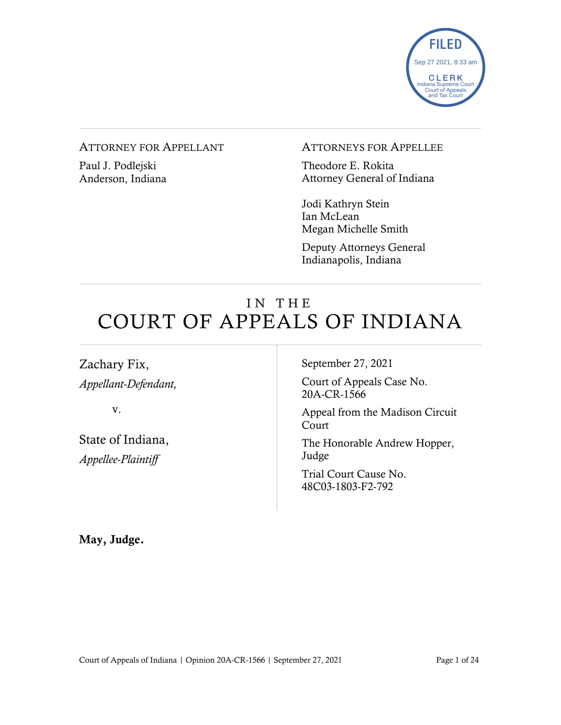

#### ATTORNEY FOR APPELLANT

Paul J. Podlejski Anderson, Indiana

#### ATTORNEYS FOR APPELLEE

Theodore E. Rokita Attorney General of Indiana

Jodi Kathryn Stein Ian McLean Megan Michelle Smith

Deputy Attorneys General Indianapolis, Indiana

# IN THE COURT OF APPEALS OF INDIANA

Zachary Fix, *Appellant-Defendant,*

v.

State of Indiana, *Appellee-Plaintiff*

September 27, 2021

Court of Appeals Case No. 20A-CR-1566

Appeal from the Madison Circuit Court

The Honorable Andrew Hopper, Judge

Trial Court Cause No. 48C03-1803-F2-792

May, Judge.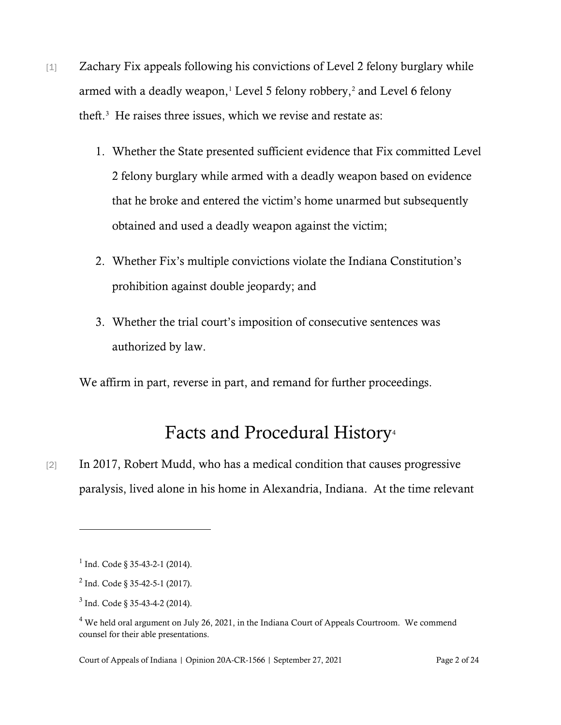- [1] Zachary Fix appeals following his convictions of Level 2 felony burglary while armed with a deadly weapon, $1$  Level 5 felony robbery, $2$  and Level 6 felony theft. [3](#page-1-2) He raises three issues, which we revise and restate as:
	- 1. Whether the State presented sufficient evidence that Fix committed Level 2 felony burglary while armed with a deadly weapon based on evidence that he broke and entered the victim's home unarmed but subsequently obtained and used a deadly weapon against the victim;
	- 2. Whether Fix's multiple convictions violate the Indiana Constitution's prohibition against double jeopardy; and
	- 3. Whether the trial court's imposition of consecutive sentences was authorized by law.

We affirm in part, reverse in part, and remand for further proceedings.

# Facts and Procedural History<sup>[4](#page-1-3)</sup>

[2] In 2017, Robert Mudd, who has a medical condition that causes progressive paralysis, lived alone in his home in Alexandria, Indiana. At the time relevant

<span id="page-1-0"></span> $1$  Ind. Code § 35-43-2-1 (2014).

<span id="page-1-1"></span> $^{2}$  Ind. Code § 35-42-5-1 (2017).

<span id="page-1-2"></span> $3$  Ind. Code § 35-43-4-2 (2014).

<span id="page-1-3"></span><sup>&</sup>lt;sup>4</sup> We held oral argument on July 26, 2021, in the Indiana Court of Appeals Courtroom. We commend counsel for their able presentations.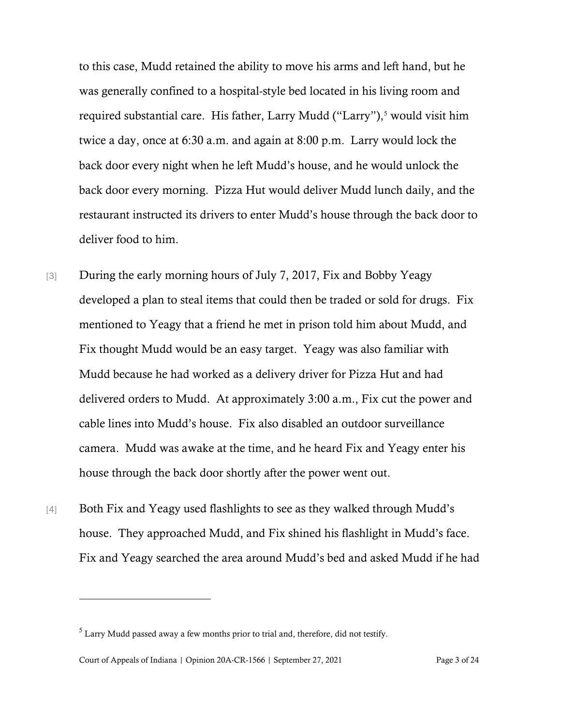to this case, Mudd retained the ability to move his arms and left hand, but he was generally confined to a hospital-style bed located in his living room and required substantial care. His father, Larry Mudd ("Larry"),<sup>[5](#page-2-0)</sup> would visit him twice a day, once at 6:30 a.m. and again at 8:00 p.m. Larry would lock the back door every night when he left Mudd's house, and he would unlock the back door every morning. Pizza Hut would deliver Mudd lunch daily, and the restaurant instructed its drivers to enter Mudd's house through the back door to deliver food to him.

- [3] During the early morning hours of July 7, 2017, Fix and Bobby Yeagy developed a plan to steal items that could then be traded or sold for drugs. Fix mentioned to Yeagy that a friend he met in prison told him about Mudd, and Fix thought Mudd would be an easy target. Yeagy was also familiar with Mudd because he had worked as a delivery driver for Pizza Hut and had delivered orders to Mudd. At approximately 3:00 a.m., Fix cut the power and cable lines into Mudd's house. Fix also disabled an outdoor surveillance camera. Mudd was awake at the time, and he heard Fix and Yeagy enter his house through the back door shortly after the power went out.
- [4] Both Fix and Yeagy used flashlights to see as they walked through Mudd's house. They approached Mudd, and Fix shined his flashlight in Mudd's face. Fix and Yeagy searched the area around Mudd's bed and asked Mudd if he had

<span id="page-2-0"></span><sup>5</sup> Larry Mudd passed away a few months prior to trial and, therefore, did not testify.

Court of Appeals of Indiana | Opinion 20A-CR-1566 | September 27, 2021 Page 3 of 24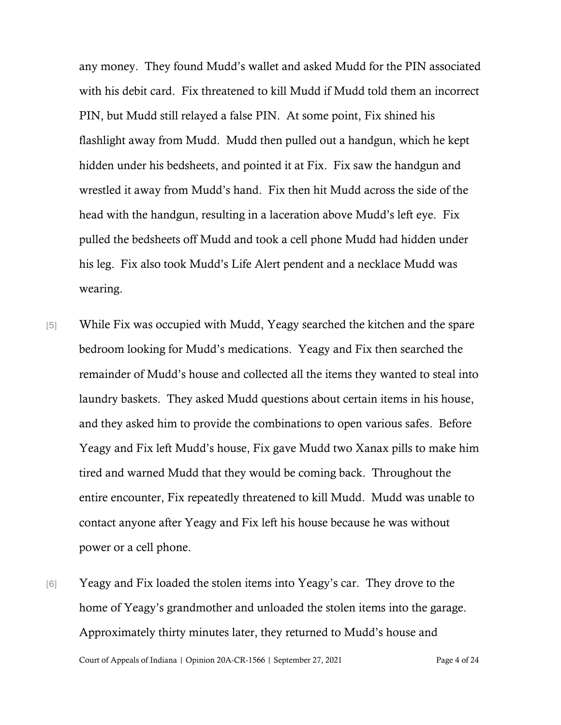any money. They found Mudd's wallet and asked Mudd for the PIN associated with his debit card. Fix threatened to kill Mudd if Mudd told them an incorrect PIN, but Mudd still relayed a false PIN. At some point, Fix shined his flashlight away from Mudd. Mudd then pulled out a handgun, which he kept hidden under his bedsheets, and pointed it at Fix. Fix saw the handgun and wrestled it away from Mudd's hand. Fix then hit Mudd across the side of the head with the handgun, resulting in a laceration above Mudd's left eye. Fix pulled the bedsheets off Mudd and took a cell phone Mudd had hidden under his leg. Fix also took Mudd's Life Alert pendent and a necklace Mudd was wearing.

- [5] While Fix was occupied with Mudd, Yeagy searched the kitchen and the spare bedroom looking for Mudd's medications. Yeagy and Fix then searched the remainder of Mudd's house and collected all the items they wanted to steal into laundry baskets. They asked Mudd questions about certain items in his house, and they asked him to provide the combinations to open various safes. Before Yeagy and Fix left Mudd's house, Fix gave Mudd two Xanax pills to make him tired and warned Mudd that they would be coming back. Throughout the entire encounter, Fix repeatedly threatened to kill Mudd. Mudd was unable to contact anyone after Yeagy and Fix left his house because he was without power or a cell phone.
- [6] Yeagy and Fix loaded the stolen items into Yeagy's car. They drove to the home of Yeagy's grandmother and unloaded the stolen items into the garage. Approximately thirty minutes later, they returned to Mudd's house and

Court of Appeals of Indiana | Opinion 20A-CR-1566 | September 27, 2021 Page 4 of 24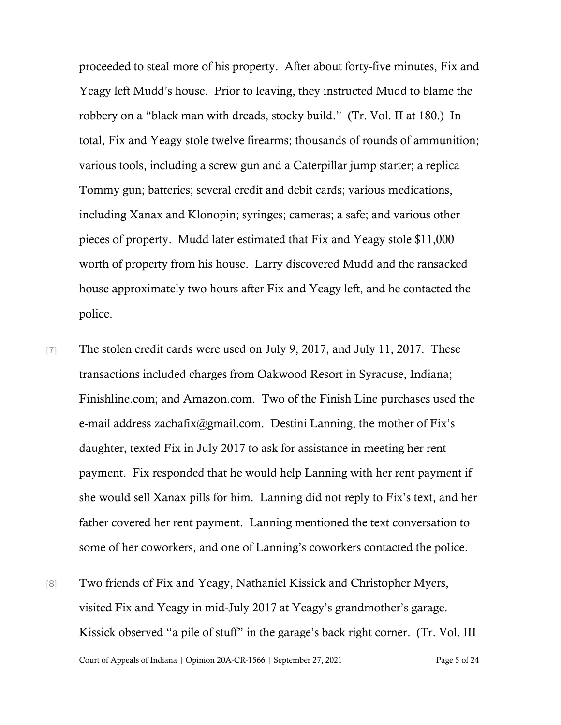proceeded to steal more of his property. After about forty-five minutes, Fix and Yeagy left Mudd's house. Prior to leaving, they instructed Mudd to blame the robbery on a "black man with dreads, stocky build." (Tr. Vol. II at 180.) In total, Fix and Yeagy stole twelve firearms; thousands of rounds of ammunition; various tools, including a screw gun and a Caterpillar jump starter; a replica Tommy gun; batteries; several credit and debit cards; various medications, including Xanax and Klonopin; syringes; cameras; a safe; and various other pieces of property. Mudd later estimated that Fix and Yeagy stole \$11,000 worth of property from his house. Larry discovered Mudd and the ransacked house approximately two hours after Fix and Yeagy left, and he contacted the police.

- [7] The stolen credit cards were used on July 9, 2017, and July 11, 2017. These transactions included charges from Oakwood Resort in Syracuse, Indiana; Finishline.com; and Amazon.com. Two of the Finish Line purchases used the e-mail address [zachafix@gmail.com.](mailto:zachafix@gmail.com) Destini Lanning, the mother of Fix's daughter, texted Fix in July 2017 to ask for assistance in meeting her rent payment. Fix responded that he would help Lanning with her rent payment if she would sell Xanax pills for him. Lanning did not reply to Fix's text, and her father covered her rent payment. Lanning mentioned the text conversation to some of her coworkers, and one of Lanning's coworkers contacted the police.
- Court of Appeals of Indiana | Opinion 20A-CR-1566 | September 27, 2021 Page 5 of 24 [8] Two friends of Fix and Yeagy, Nathaniel Kissick and Christopher Myers, visited Fix and Yeagy in mid-July 2017 at Yeagy's grandmother's garage. Kissick observed "a pile of stuff" in the garage's back right corner. (Tr. Vol. III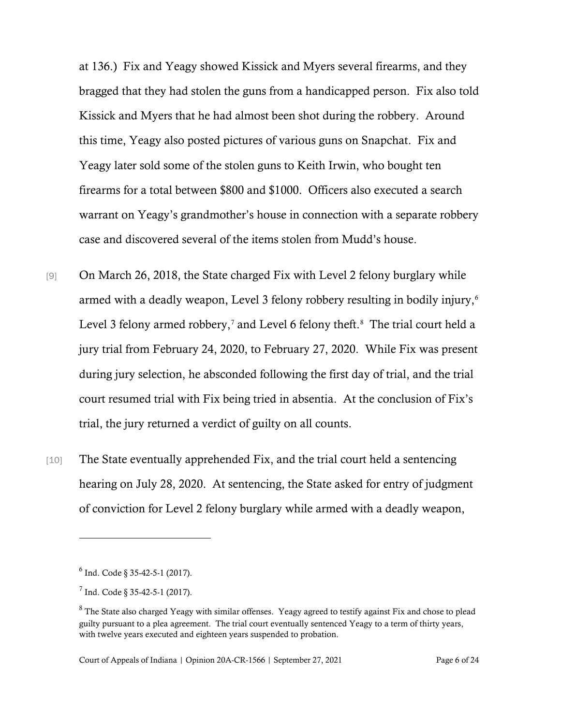at 136.) Fix and Yeagy showed Kissick and Myers several firearms, and they bragged that they had stolen the guns from a handicapped person. Fix also told Kissick and Myers that he had almost been shot during the robbery. Around this time, Yeagy also posted pictures of various guns on Snapchat. Fix and Yeagy later sold some of the stolen guns to Keith Irwin, who bought ten firearms for a total between \$800 and \$1000. Officers also executed a search warrant on Yeagy's grandmother's house in connection with a separate robbery case and discovered several of the items stolen from Mudd's house.

- [9] On March 26, 2018, the State charged Fix with Level 2 felony burglary while armed with a deadly weapon, Level 3 felony robbery resulting in bodily injury,<sup>[6](#page-5-0)</sup> Level 3 felony armed robbery,<sup>[7](#page-5-1)</sup> and Level 6 felony theft.<sup>[8](#page-5-2)</sup> The trial court held a jury trial from February 24, 2020, to February 27, 2020. While Fix was present during jury selection, he absconded following the first day of trial, and the trial court resumed trial with Fix being tried in absentia. At the conclusion of Fix's trial, the jury returned a verdict of guilty on all counts.
- [10] The State eventually apprehended Fix, and the trial court held a sentencing hearing on July 28, 2020. At sentencing, the State asked for entry of judgment of conviction for Level 2 felony burglary while armed with a deadly weapon,

<span id="page-5-0"></span> $6$  Ind. Code  $8$  35-42-5-1 (2017).

<span id="page-5-1"></span> $<sup>7</sup>$  Ind. Code  $\&$  35-42-5-1 (2017).</sup>

<span id="page-5-2"></span><sup>&</sup>lt;sup>8</sup> The State also charged Yeagy with similar offenses. Yeagy agreed to testify against Fix and chose to plead guilty pursuant to a plea agreement. The trial court eventually sentenced Yeagy to a term of thirty years, with twelve years executed and eighteen years suspended to probation.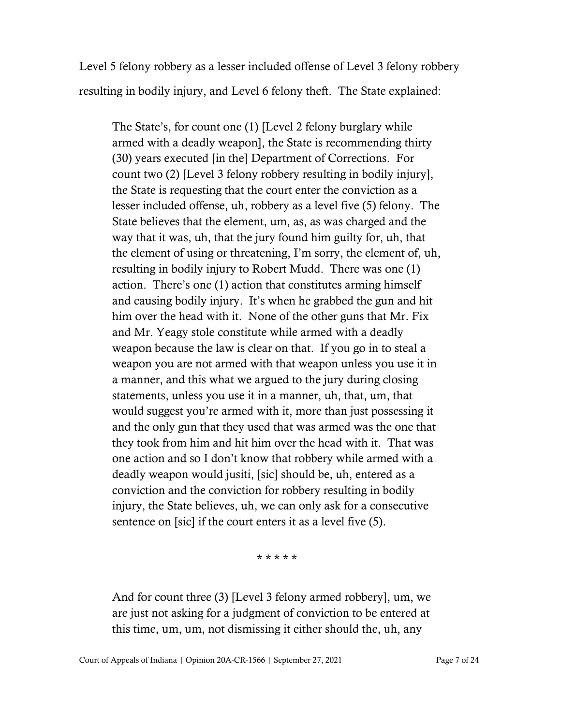Level 5 felony robbery as a lesser included offense of Level 3 felony robbery resulting in bodily injury, and Level 6 felony theft. The State explained:

The State's, for count one (1) [Level 2 felony burglary while armed with a deadly weapon], the State is recommending thirty (30) years executed [in the] Department of Corrections. For count two (2) [Level 3 felony robbery resulting in bodily injury], the State is requesting that the court enter the conviction as a lesser included offense, uh, robbery as a level five (5) felony. The State believes that the element, um, as, as was charged and the way that it was, uh, that the jury found him guilty for, uh, that the element of using or threatening, I'm sorry, the element of, uh, resulting in bodily injury to Robert Mudd. There was one (1) action. There's one (1) action that constitutes arming himself and causing bodily injury. It's when he grabbed the gun and hit him over the head with it. None of the other guns that Mr. Fix and Mr. Yeagy stole constitute while armed with a deadly weapon because the law is clear on that. If you go in to steal a weapon you are not armed with that weapon unless you use it in a manner, and this what we argued to the jury during closing statements, unless you use it in a manner, uh, that, um, that would suggest you're armed with it, more than just possessing it and the only gun that they used that was armed was the one that they took from him and hit him over the head with it. That was one action and so I don't know that robbery while armed with a deadly weapon would jusiti, [sic] should be, uh, entered as a conviction and the conviction for robbery resulting in bodily injury, the State believes, uh, we can only ask for a consecutive sentence on [sic] if the court enters it as a level five (5).

\* \* \* \* \*

And for count three (3) [Level 3 felony armed robbery], um, we are just not asking for a judgment of conviction to be entered at this time, um, um, not dismissing it either should the, uh, any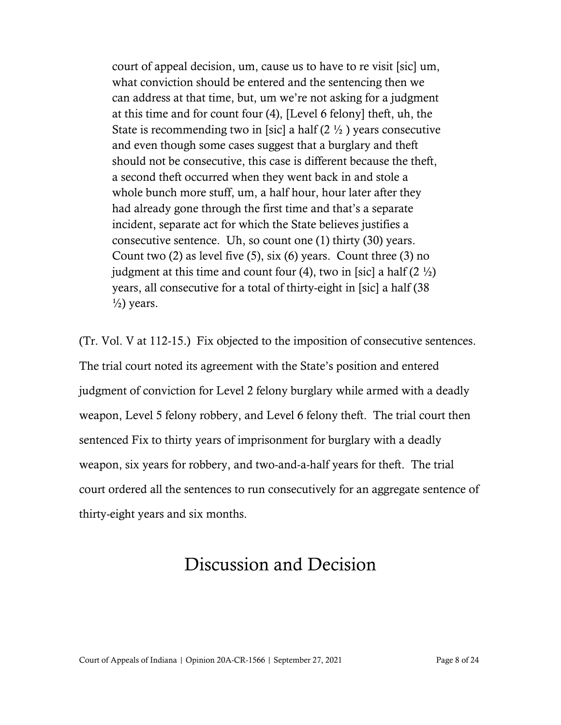court of appeal decision, um, cause us to have to re visit [sic] um, what conviction should be entered and the sentencing then we can address at that time, but, um we're not asking for a judgment at this time and for count four (4), [Level 6 felony] theft, uh, the State is recommending two in [sic] a half  $(2 \frac{1}{2})$  years consecutive and even though some cases suggest that a burglary and theft should not be consecutive, this case is different because the theft, a second theft occurred when they went back in and stole a whole bunch more stuff, um, a half hour, hour later after they had already gone through the first time and that's a separate incident, separate act for which the State believes justifies a consecutive sentence. Uh, so count one (1) thirty (30) years. Count two  $(2)$  as level five  $(5)$ , six  $(6)$  years. Count three  $(3)$  no judgment at this time and count four (4), two in [sic] a half  $(2 \frac{1}{2})$ years, all consecutive for a total of thirty-eight in [sic] a half (38  $\frac{1}{2}$ ) years.

(Tr. Vol. V at 112-15.) Fix objected to the imposition of consecutive sentences. The trial court noted its agreement with the State's position and entered judgment of conviction for Level 2 felony burglary while armed with a deadly weapon, Level 5 felony robbery, and Level 6 felony theft. The trial court then sentenced Fix to thirty years of imprisonment for burglary with a deadly weapon, six years for robbery, and two-and-a-half years for theft. The trial court ordered all the sentences to run consecutively for an aggregate sentence of thirty-eight years and six months.

# Discussion and Decision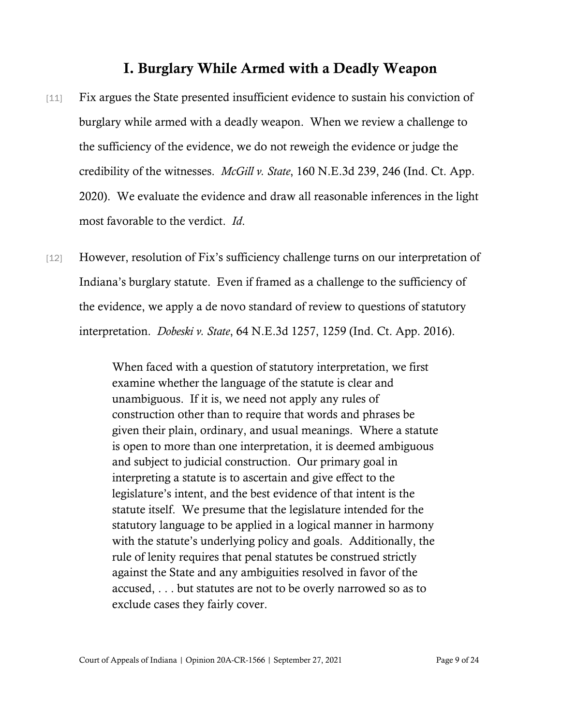## I. Burglary While Armed with a Deadly Weapon

- [11] Fix argues the State presented insufficient evidence to sustain his conviction of burglary while armed with a deadly weapon. When we review a challenge to the sufficiency of the evidence, we do not reweigh the evidence or judge the credibility of the witnesses. *McGill v. State*, 160 N.E.3d 239, 246 (Ind. Ct. App. 2020). We evaluate the evidence and draw all reasonable inferences in the light most favorable to the verdict. *Id*.
- [12] However, resolution of Fix's sufficiency challenge turns on our interpretation of Indiana's burglary statute. Even if framed as a challenge to the sufficiency of the evidence, we apply a de novo standard of review to questions of statutory interpretation. *Dobeski v. State*, 64 N.E.3d 1257, 1259 (Ind. Ct. App. 2016).

When faced with a question of statutory interpretation, we first examine whether the language of the statute is clear and unambiguous. If it is, we need not apply any rules of construction other than to require that words and phrases be given their plain, ordinary, and usual meanings. Where a statute is open to more than one interpretation, it is deemed ambiguous and subject to judicial construction. Our primary goal in interpreting a statute is to ascertain and give effect to the legislature's intent, and the best evidence of that intent is the statute itself. We presume that the legislature intended for the statutory language to be applied in a logical manner in harmony with the statute's underlying policy and goals. Additionally, the rule of lenity requires that penal statutes be construed strictly against the State and any ambiguities resolved in favor of the accused, . . . but statutes are not to be overly narrowed so as to exclude cases they fairly cover.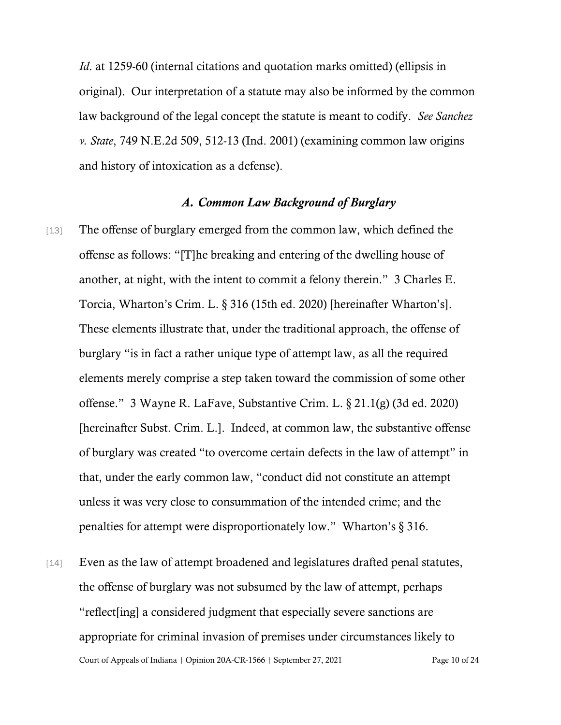*Id.* at 1259-60 (internal citations and quotation marks omitted) (ellipsis in original). Our interpretation of a statute may also be informed by the common law background of the legal concept the statute is meant to codify. *See Sanchez v. State*, 749 N.E.2d 509, 512-13 (Ind. 2001) (examining common law origins and history of intoxication as a defense).

#### *A. Common Law Background of Burglary*

- [13] The offense of burglary emerged from the common law, which defined the offense as follows: "[T]he breaking and entering of the dwelling house of another, at night, with the intent to commit a felony therein." 3 Charles E. Torcia, Wharton's Crim. L. § 316 (15th ed. 2020) [hereinafter Wharton's]. These elements illustrate that, under the traditional approach, the offense of burglary "is in fact a rather unique type of attempt law, as all the required elements merely comprise a step taken toward the commission of some other offense." 3 Wayne R. LaFave, Substantive Crim. L. § 21.1(g) (3d ed. 2020) [hereinafter Subst. Crim. L.]. Indeed, at common law, the substantive offense of burglary was created "to overcome certain defects in the law of attempt" in that, under the early common law, "conduct did not constitute an attempt unless it was very close to consummation of the intended crime; and the penalties for attempt were disproportionately low." Wharton's § 316.
- Court of Appeals of Indiana | Opinion 20A-CR-1566 | September 27, 2021 Page 10 of 24 [14] Even as the law of attempt broadened and legislatures drafted penal statutes, the offense of burglary was not subsumed by the law of attempt, perhaps "reflect[ing] a considered judgment that especially severe sanctions are appropriate for criminal invasion of premises under circumstances likely to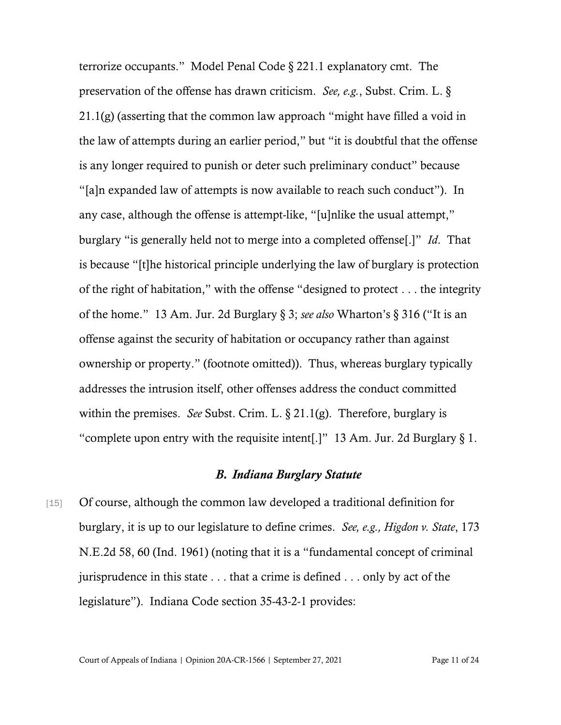terrorize occupants." [Model Penal Code § 221.1](https://www.westlaw.com/Document/N4318F9E0025C11DD8320AE42787FBF1D/View/FullText.html?transitionType=Default&contextData=(sc.Default)&VR=3.0&RS=da3.0) explanatory cmt. The preservation of the offense has drawn criticism. *See, e.g.*, [Subst. Crim. L. §](https://www.westlaw.com/Link/Document/FullText?cite=SUBCRLs21.1&VR=3.0&RS=da3.0)  [21.1\(g\)](https://www.westlaw.com/Link/Document/FullText?cite=SUBCRLs21.1&VR=3.0&RS=da3.0) (asserting that the common law approach "might have filled a void in the law of attempts during an earlier period," but "it is doubtful that the offense is any longer required to punish or deter such preliminary conduct" because "[a]n expanded law of attempts is now available to reach such conduct"). In any case, although the offense is attempt-like, "[u]nlike the usual attempt," burglary "is generally held not to merge into a completed offense[.]" *[Id](https://www.westlaw.com/Document/N4318F9E0025C11DD8320AE42787FBF1D/View/FullText.html?transitionType=Default&contextData=(sc.Default)&VR=3.0&RS=da3.0)*[.](https://www.westlaw.com/Document/N4318F9E0025C11DD8320AE42787FBF1D/View/FullText.html?transitionType=Default&contextData=(sc.Default)&VR=3.0&RS=da3.0) That is because "[t]he historical principle underlying the law of burglary is protection of the right of habitation," with the offense "designed to protect . . . the integrity of the home." [13 Am. Jur. 2d Burglary § 3;](https://www.westlaw.com/Document/I4302d1abb27b11d9815db1c9d88f7df2/View/FullText.html?transitionType=Default&contextData=(sc.Default)&VR=3.0&RS=da3.0) *see also* [Wharton's § 316](https://www.westlaw.com/Document/I655d54554acc11dab8b4a16f825e6564/View/FullText.html?transitionType=Default&contextData=(sc.Default)&VR=3.0&RS=da3.0) ("It is an offense against the security of habitation or occupancy rather than against ownership or property." (footnote omitted)). Thus, whereas burglary typically addresses the intrusion itself, other offenses address the conduct committed within the premises. *See* [Subst. Crim. L. § 21.1\(g\).](https://www.westlaw.com/Link/Document/FullText?cite=SUBCRLs21.1&VR=3.0&RS=da3.0) Therefore, burglary is "complete upon entry with the requisite intent[.]" 13 Am. Jur. 2d Burglary  $\S 1$ .

### *B. Indiana Burglary Statute*

[15] Of course, although the common law developed a traditional definition for burglary, it is up to our legislature to define crimes. *See, e.g., Higdon v. State*, 173 N.E.2d 58, 60 (Ind. 1961) (noting that it is a "fundamental concept of criminal jurisprudence in this state . . . that a crime is defined . . . only by act of the legislature"). Indiana Code section 35-43-2-1 provides: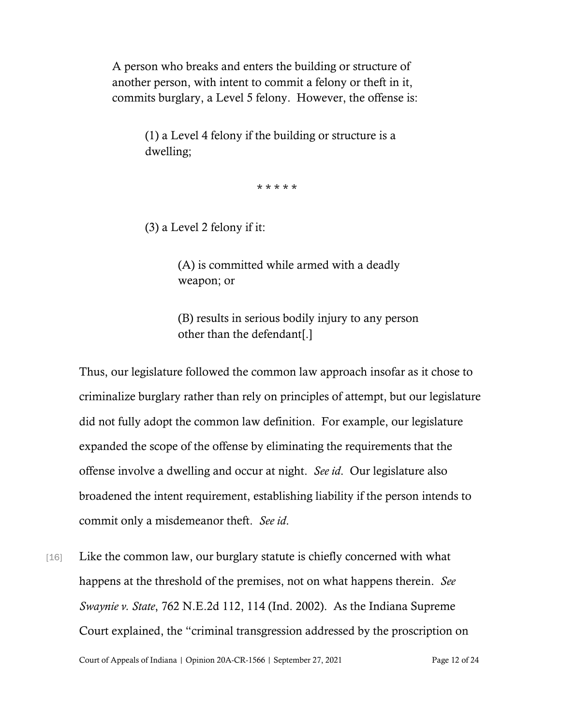A person who breaks and enters the building or structure of another person, with intent to commit a felony or theft in it, commits burglary, a Level 5 felony. However, the offense is:

> (1) a Level 4 felony if the building or structure is a dwelling;

> > \* \* \* \* \*

(3) a Level 2 felony if it:

(A) is committed while armed with a deadly weapon; or

(B) results in serious bodily injury to any person other than the defendant[.]

Thus, our legislature followed the common law approach insofar as it chose to criminalize burglary rather than rely on principles of attempt, but our legislature did not fully adopt the common law definition. For example, our legislature expanded the scope of the offense by eliminating the requirements that the offense involve a dwelling and occur at night. *See id*. Our legislature also broadened the intent requirement, establishing liability if the person intends to commit only a misdemeanor theft. *See id*.

[16] Like the common law, our burglary statute is chiefly concerned with what happens at the threshold of the premises, not on what happens therein. *See Swaynie v. State*, 762 N.E.2d 112, 114 (Ind. 2002). As the Indiana Supreme Court explained, the "criminal transgression addressed by the proscription on

Court of Appeals of Indiana | Opinion 20A-CR-1566 | September 27, 2021 Page 12 of 24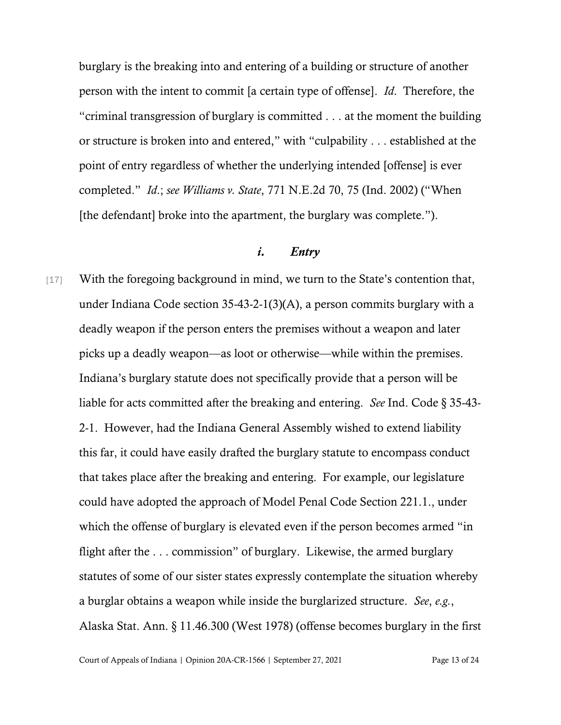burglary is the breaking into and entering of a building or structure of another person with the intent to commit [a certain type of offense]. *Id*. Therefore, the "criminal transgression of burglary is committed . . . at the moment the building or structure is broken into and entered," with "culpability . . . established at the point of entry regardless of whether the underlying intended [offense] is ever completed." *Id*.; *see Williams v. State*, 771 N.E.2d 70, 75 (Ind. 2002) ("When [the defendant] broke into the apartment, the burglary was complete.").

#### *i. Entry*

[17] With the foregoing background in mind, we turn to the State's contention that, under Indiana Code section 35-43-2-1(3)(A), a person commits burglary with a deadly weapon if the person enters the premises without a weapon and later picks up a deadly weapon—as loot or otherwise—while within the premises. Indiana's burglary statute does not specifically provide that a person will be liable for acts committed after the breaking and entering. *See* Ind. Code § 35-43- 2-1. However, had the Indiana General Assembly wished to extend liability this far, it could have easily drafted the burglary statute to encompass conduct that takes place after the breaking and entering. For example, our legislature could have adopted the approach of Model Penal Code Section 221.1., under which the offense of burglary is elevated even if the person becomes armed "in flight after the . . . commission" of burglary. Likewise, the armed burglary statutes of some of our sister states expressly contemplate the situation whereby a burglar obtains a weapon while inside the burglarized structure. *See*, *e.g.*, Alaska Stat. Ann. § 11.46.300 (West 1978) (offense becomes burglary in the first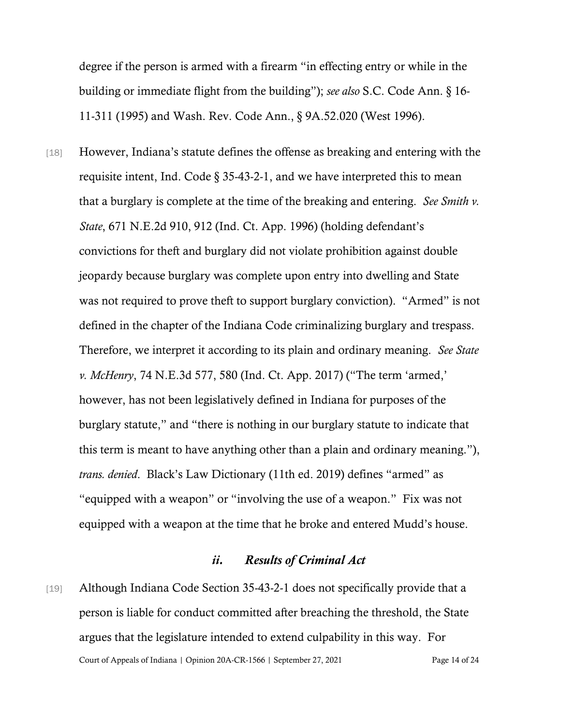degree if the person is armed with a firearm "in effecting entry or while in the building or immediate flight from the building"); *see also* S.C. Code Ann. § 16- 11-311 (1995) and Wash. Rev. Code Ann., § 9A.52.020 (West 1996).

[18] However, Indiana's statute defines the offense as breaking and entering with the requisite intent, Ind. Code § 35-43-2-1, and we have interpreted this to mean that a burglary is complete at the time of the breaking and entering. *See Smith v. State*, 671 N.E.2d 910, 912 (Ind. Ct. App. 1996) (holding defendant's convictions for theft and burglary did not violate prohibition against double jeopardy because burglary was complete upon entry into dwelling and State was not required to prove theft to support burglary conviction). "Armed" is not defined in the chapter of the Indiana Code criminalizing burglary and trespass. Therefore, we interpret it according to its plain and ordinary meaning. *See State v. McHenry*, 74 N.E.3d 577, 580 (Ind. Ct. App. 2017) ("The term 'armed,' however, has not been legislatively defined in Indiana for purposes of the burglary statute," and "there is nothing in our burglary statute to indicate that this term is meant to have anything other than a plain and ordinary meaning."), *trans. denied*. Black's Law Dictionary (11th ed. 2019) defines "armed" as "equipped with a weapon" or "involving the use of a weapon." Fix was not equipped with a weapon at the time that he broke and entered Mudd's house.

### *ii. Results of Criminal Act*

Court of Appeals of Indiana | Opinion 20A-CR-1566 | September 27, 2021 Page 14 of 24 [19] Although Indiana Code Section 35-43-2-1 does not specifically provide that a person is liable for conduct committed after breaching the threshold, the State argues that the legislature intended to extend culpability in this way. For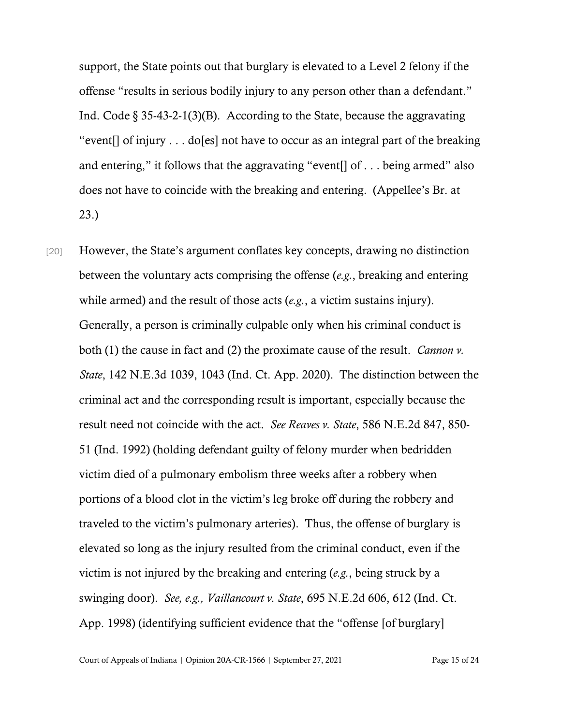support, the State points out that burglary is elevated to a Level 2 felony if the offense "results in serious bodily injury to any person other than a defendant." Ind. Code  $\S 35-43-2-1(3)(B)$ . According to the State, because the aggravating "event[] of injury . . . do[es] not have to occur as an integral part of the breaking and entering," it follows that the aggravating "event[] of . . . being armed" also does not have to coincide with the breaking and entering. (Appellee's Br. at 23.)

[20] However, the State's argument conflates key concepts, drawing no distinction between the voluntary acts comprising the offense (*e.g.*, breaking and entering while armed) and the result of those acts (*e.g.*, a victim sustains injury). Generally, a person is criminally culpable only when his criminal conduct is both (1) the cause in fact and (2) the proximate cause of the result. *Cannon v. State*, 142 N.E.3d 1039, 1043 (Ind. Ct. App. 2020). The distinction between the criminal act and the corresponding result is important, especially because the result need not coincide with the act. *See Reaves v. State*, 586 N.E.2d 847, 850- 51 (Ind. 1992) (holding defendant guilty of felony murder when bedridden victim died of a pulmonary embolism three weeks after a robbery when portions of a blood clot in the victim's leg broke off during the robbery and traveled to the victim's pulmonary arteries). Thus, the offense of burglary is elevated so long as the injury resulted from the criminal conduct, even if the victim is not injured by the breaking and entering (*e.g.*, being struck by a swinging door). *See, e.g., Vaillancourt v. State*, 695 N.E.2d 606, 612 (Ind. Ct. App. 1998) (identifying sufficient evidence that the "offense [of burglary]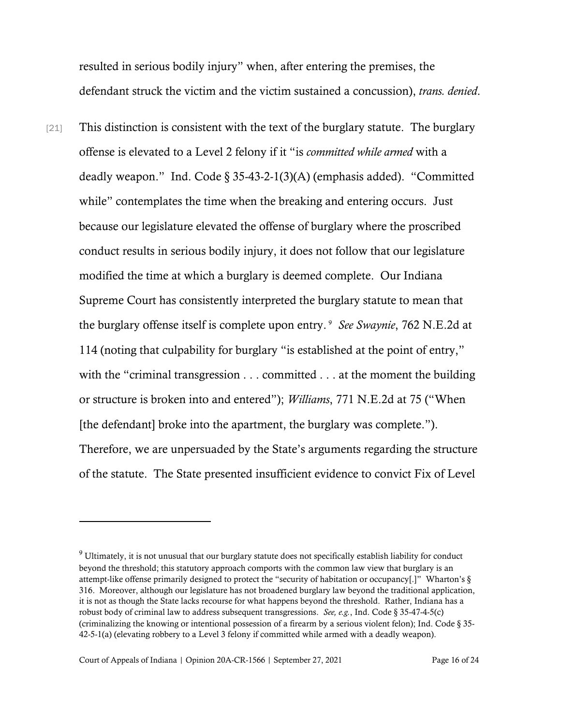resulted in serious bodily injury" when, after entering the premises, the defendant struck the victim and the victim sustained a concussion), *trans. denied*.

[21] This distinction is consistent with the text of the burglary statute. The burglary offense is elevated to a Level 2 felony if it "is *committed while armed* with a deadly weapon." Ind. Code § 35-43-2-1(3)(A) (emphasis added). "Committed while" contemplates the time when the breaking and entering occurs. Just because our legislature elevated the offense of burglary where the proscribed conduct results in serious bodily injury, it does not follow that our legislature modified the time at which a burglary is deemed complete. Our Indiana Supreme Court has consistently interpreted the burglary statute to mean that the burglary offense itself is complete upon entry. [9](#page-15-0) *See Swaynie*, 762 N.E.2d at 114 (noting that culpability for burglary "is established at the point of entry," with the "criminal transgression . . . committed . . . at the moment the building or structure is broken into and entered"); *Williams*, 771 N.E.2d at 75 ("When [the defendant] broke into the apartment, the burglary was complete."). Therefore, we are unpersuaded by the State's arguments regarding the structure of the statute. The State presented insufficient evidence to convict Fix of Level

<span id="page-15-0"></span><sup>9</sup> Ultimately, it is not unusual that our burglary statute does not specifically establish liability for conduct beyond the threshold; this statutory approach comports with the common law view that burglary is an attempt-like offense primarily designed to protect the "security of habitation or occupancy[.]" Wharton's § 316. Moreover, although our legislature has not broadened burglary law beyond the traditional application, it is not as though the State lacks recourse for what happens beyond the threshold. Rather, Indiana has a robust body of criminal law to address subsequent transgressions. *See, e.g.*, Ind. Code § 35-47-4-5(c) (criminalizing the knowing or intentional possession of a firearm by a serious violent felon); Ind. Code § 35- 42-5-1(a) (elevating robbery to a Level 3 felony if committed while armed with a deadly weapon).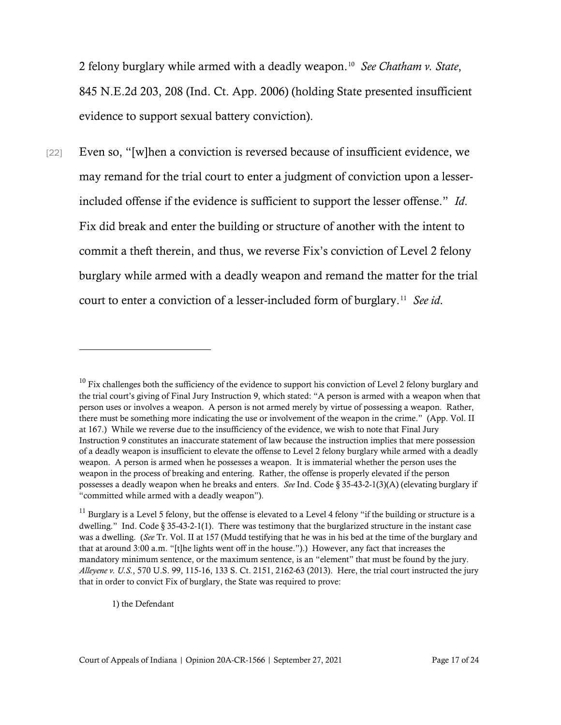2 felony burglary while armed with a deadly weapon.[10](#page-16-0) *See Chatham v. State*, 845 N.E.2d 203, 208 (Ind. Ct. App. 2006) (holding State presented insufficient evidence to support sexual battery conviction).

[22] Even so, "[w]hen a conviction is reversed because of insufficient evidence, we may remand for the trial court to enter a judgment of conviction upon a lesserincluded offense if the evidence is sufficient to support the lesser offense." *Id*. Fix did break and enter the building or structure of another with the intent to commit a theft therein, and thus, we reverse Fix's conviction of Level 2 felony burglary while armed with a deadly weapon and remand the matter for the trial court to enter a conviction of a lesser-included form of burglary.[11](#page-16-1) *See id*.

1) the Defendant

<span id="page-16-0"></span> $^{10}$  Fix challenges both the sufficiency of the evidence to support his conviction of Level 2 felony burglary and the trial court's giving of Final Jury Instruction 9, which stated: "A person is armed with a weapon when that person uses or involves a weapon. A person is not armed merely by virtue of possessing a weapon. Rather, there must be something more indicating the use or involvement of the weapon in the crime." (App. Vol. II at 167.) While we reverse due to the insufficiency of the evidence, we wish to note that Final Jury Instruction 9 constitutes an inaccurate statement of law because the instruction implies that mere possession of a deadly weapon is insufficient to elevate the offense to Level 2 felony burglary while armed with a deadly weapon. A person is armed when he possesses a weapon. It is immaterial whether the person uses the weapon in the process of breaking and entering. Rather, the offense is properly elevated if the person possesses a deadly weapon when he breaks and enters. *See* Ind. Code § 35-43-2-1(3)(A) (elevating burglary if "committed while armed with a deadly weapon").

<span id="page-16-1"></span> $11$  Burglary is a Level 5 felony, but the offense is elevated to a Level 4 felony "if the building or structure is a dwelling." Ind. Code § 35-43-2-1(1). There was testimony that the burglarized structure in the instant case was a dwelling. (*See* Tr. Vol. II at 157 (Mudd testifying that he was in his bed at the time of the burglary and that at around 3:00 a.m. "[t]he lights went off in the house.").) However, any fact that increases the mandatory minimum sentence, or the maximum sentence, is an "element" that must be found by the jury. *Alleyene v. U.S.*, 570 U.S. 99, 115-16, 133 S. Ct. 2151, 2162-63 (2013). Here, the trial court instructed the jury that in order to convict Fix of burglary, the State was required to prove: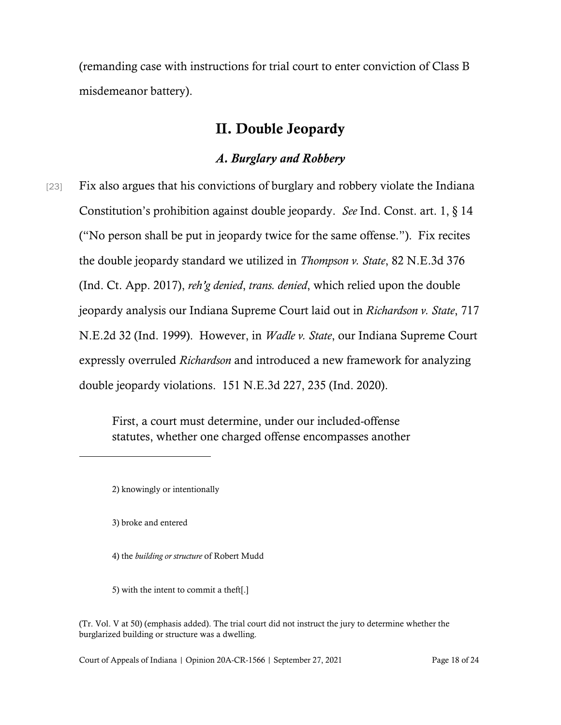(remanding case with instructions for trial court to enter conviction of Class B misdemeanor battery).

## II. Double Jeopardy

## *A. Burglary and Robbery*

[23] Fix also argues that his convictions of burglary and robbery violate the Indiana Constitution's prohibition against double jeopardy. *See* Ind. Const. art. 1, § 14 ("No person shall be put in jeopardy twice for the same offense."). Fix recites the double jeopardy standard we utilized in *Thompson v. State*, 82 N.E.3d 376 (Ind. Ct. App. 2017), *reh'g denied*, *trans. denied*, which relied upon the double jeopardy analysis our Indiana Supreme Court laid out in *Richardson v. State*, 717 N.E.2d 32 (Ind. 1999). However, in *Wadle v. State*, our Indiana Supreme Court expressly overruled *Richardson* and introduced a new framework for analyzing double jeopardy violations. 151 N.E.3d 227, 235 (Ind. 2020).

> First, a court must determine, under our included-offense statutes, whether one charged offense encompasses another

- 4) the *building or structure* of Robert Mudd
- 5) with the intent to commit a theft[.]

Court of Appeals of Indiana | Opinion 20A-CR-1566 | September 27, 2021 Page 18 of 24

<sup>2)</sup> knowingly or intentionally

<sup>3)</sup> broke and entered

<sup>(</sup>Tr. Vol. V at 50) (emphasis added). The trial court did not instruct the jury to determine whether the burglarized building or structure was a dwelling.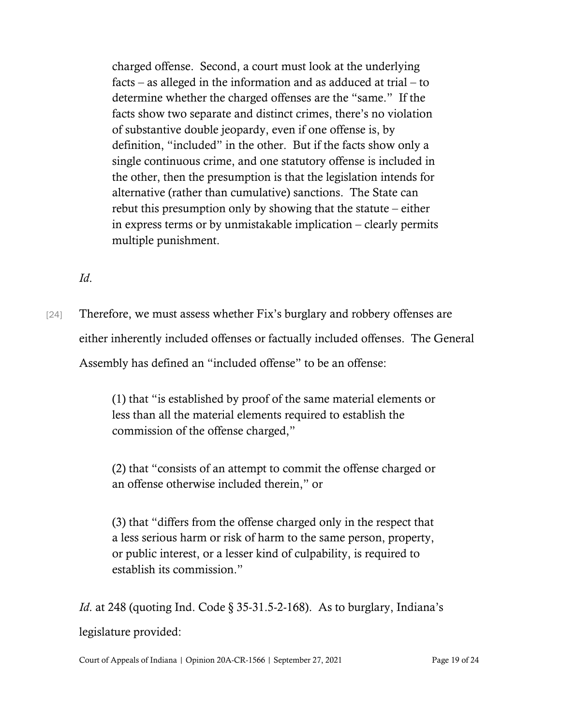charged offense. Second, a court must look at the underlying facts – as alleged in the information and as adduced at trial – to determine whether the charged offenses are the "same." If the facts show two separate and distinct crimes, there's no violation of substantive double jeopardy, even if one offense is, by definition, "included" in the other. But if the facts show only a single continuous crime, and one statutory offense is included in the other, then the presumption is that the legislation intends for alternative (rather than cumulative) sanctions. The State can rebut this presumption only by showing that the statute – either in express terms or by unmistakable implication – clearly permits multiple punishment.

*Id*.

[24] Therefore, we must assess whether Fix's burglary and robbery offenses are either inherently included offenses or factually included offenses. The General Assembly has defined an "included offense" to be an offense:

> (1) that "is established by proof of the same material elements or less than all the material elements required to establish the commission of the offense charged,"

> (2) that "consists of an attempt to commit the offense charged or an offense otherwise included therein," or

> (3) that "differs from the offense charged only in the respect that a less serious harm or risk of harm to the same person, property, or public interest, or a lesser kind of culpability, is required to establish its commission."

*Id.* at 248 (quoting Ind. Code § 35-31.5-2-168). As to burglary, Indiana's legislature provided:

Court of Appeals of Indiana | Opinion 20A-CR-1566 | September 27, 2021 Page 19 of 24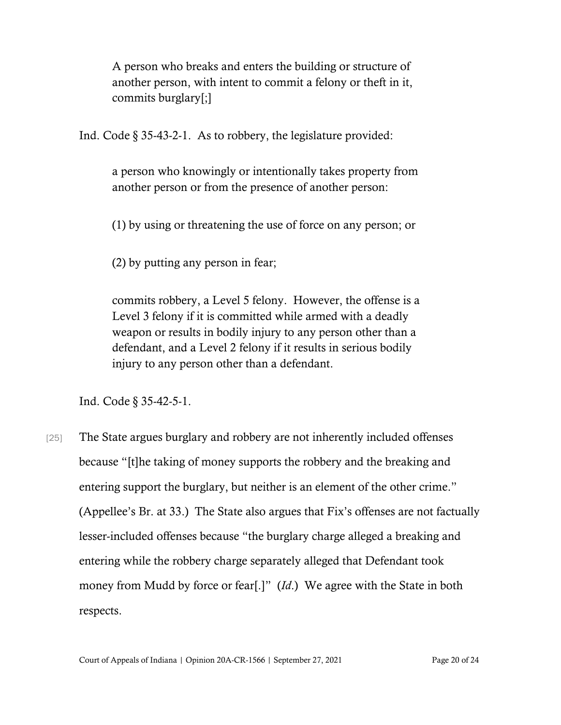A person who breaks and enters the building or structure of another person, with intent to commit a felony or theft in it, commits burglary[;]

Ind. Code § 35-43-2-1. As to robbery, the legislature provided:

a person who knowingly or intentionally takes property from another person or from the presence of another person:

(1) by using or threatening the use of force on any person; or

(2) by putting any person in fear;

commits robbery, a Level 5 felony. However, the offense is a Level 3 felony if it is committed while armed with a deadly weapon or results in bodily injury to any person other than a defendant, and a Level 2 felony if it results in serious bodily injury to any person other than a defendant.

Ind. Code § 35-42-5-1.

[25] The State argues burglary and robbery are not inherently included offenses because "[t]he taking of money supports the robbery and the breaking and entering support the burglary, but neither is an element of the other crime." (Appellee's Br. at 33.) The State also argues that Fix's offenses are not factually lesser-included offenses because "the burglary charge alleged a breaking and entering while the robbery charge separately alleged that Defendant took money from Mudd by force or fear[.]" (*Id*.) We agree with the State in both respects.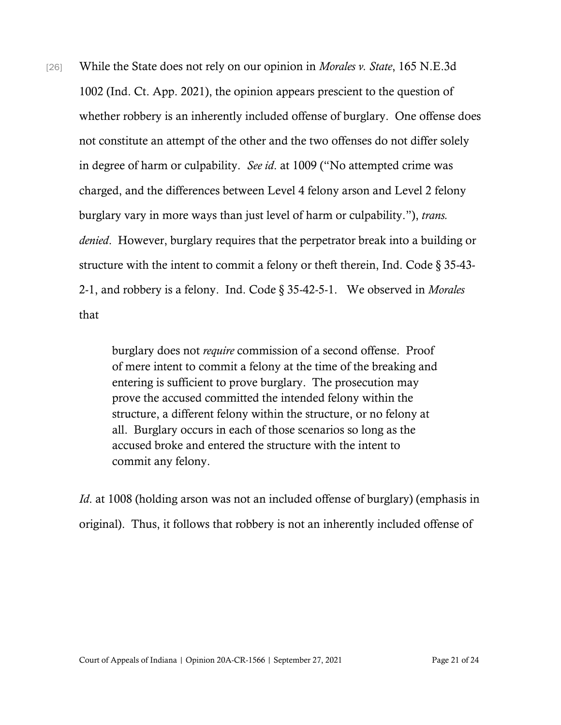[26] While the State does not rely on our opinion in *Morales v. State*, 165 N.E.3d 1002 (Ind. Ct. App. 2021), the opinion appears prescient to the question of whether robbery is an inherently included offense of burglary. One offense does not constitute an attempt of the other and the two offenses do not differ solely in degree of harm or culpability. *See id*. at 1009 ("No attempted crime was charged, and the differences between Level 4 felony arson and Level 2 felony burglary vary in more ways than just level of harm or culpability."), *trans. denied*. However, burglary requires that the perpetrator break into a building or structure with the intent to commit a felony or theft therein, Ind. Code § 35-43- 2-1, and robbery is a felony. Ind. Code § 35-42-5-1. We observed in *Morales* that

> burglary does not *require* commission of a second offense. Proof of mere intent to commit a felony at the time of the breaking and entering is sufficient to prove burglary. The prosecution may prove the accused committed the intended felony within the structure, a different felony within the structure, or no felony at all. Burglary occurs in each of those scenarios so long as the accused broke and entered the structure with the intent to commit any felony.

*Id*. at 1008 (holding arson was not an included offense of burglary) (emphasis in original). Thus, it follows that robbery is not an inherently included offense of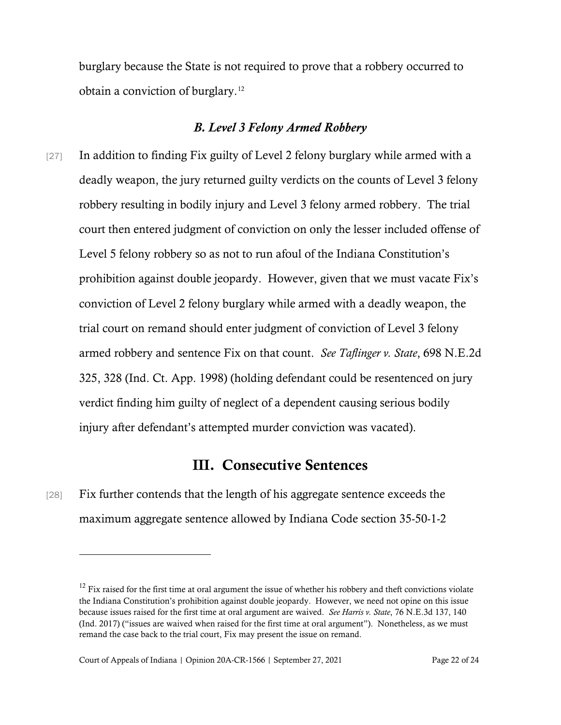burglary because the State is not required to prove that a robbery occurred to obtain a conviction of burglary.[12](#page-21-0)

### *B. Level 3 Felony Armed Robbery*

[27] In addition to finding Fix guilty of Level 2 felony burglary while armed with a deadly weapon, the jury returned guilty verdicts on the counts of Level 3 felony robbery resulting in bodily injury and Level 3 felony armed robbery. The trial court then entered judgment of conviction on only the lesser included offense of Level 5 felony robbery so as not to run afoul of the Indiana Constitution's prohibition against double jeopardy. However, given that we must vacate Fix's conviction of Level 2 felony burglary while armed with a deadly weapon, the trial court on remand should enter judgment of conviction of Level 3 felony armed robbery and sentence Fix on that count. *See Taflinger v. State*, 698 N.E.2d 325, 328 (Ind. Ct. App. 1998) (holding defendant could be resentenced on jury verdict finding him guilty of neglect of a dependent causing serious bodily injury after defendant's attempted murder conviction was vacated).

## III. Consecutive Sentences

[28] Fix further contends that the length of his aggregate sentence exceeds the maximum aggregate sentence allowed by Indiana Code section 35-50-1-2

<span id="page-21-0"></span> $12$  Fix raised for the first time at oral argument the issue of whether his robbery and theft convictions violate the Indiana Constitution's prohibition against double jeopardy. However, we need not opine on this issue because issues raised for the first time at oral argument are waived. *See Harris v. State*, 76 N.E.3d 137, 140 (Ind. 2017) ("issues are waived when raised for the first time at oral argument"). Nonetheless, as we must remand the case back to the trial court, Fix may present the issue on remand.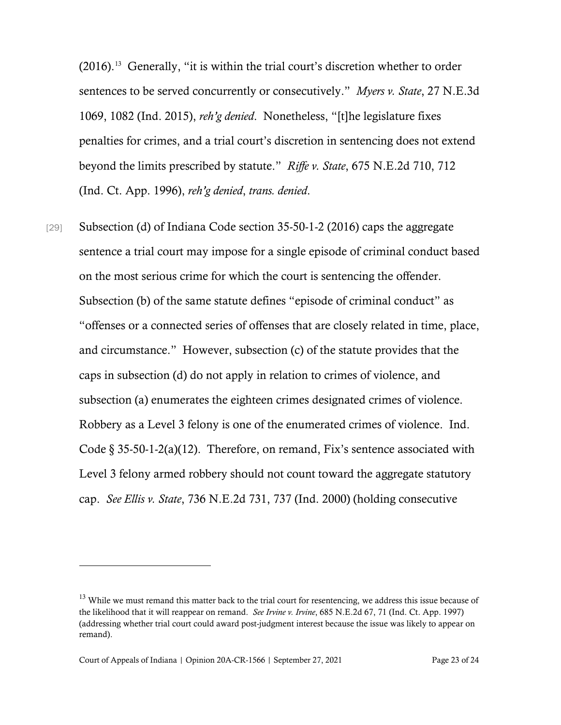(2016). [13](#page-22-0) Generally, "it is within the trial court's discretion whether to order sentences to be served concurrently or consecutively." *Myers v. State*, 27 N.E.3d 1069, 1082 (Ind. 2015), *reh'g denied*. Nonetheless, "[t]he legislature fixes penalties for crimes, and a trial court's discretion in sentencing does not extend beyond the limits prescribed by statute." *Riffe v. State*, 675 N.E.2d 710, 712 (Ind. Ct. App. 1996), *reh'g denied*, *trans. denied*.

[29] Subsection (d) of Indiana Code section 35-50-1-2 (2016) caps the aggregate sentence a trial court may impose for a single episode of criminal conduct based on the most serious crime for which the court is sentencing the offender. Subsection (b) of the same statute defines "episode of criminal conduct" as "offenses or a connected series of offenses that are closely related in time, place, and circumstance." However, subsection (c) of the statute provides that the caps in subsection (d) do not apply in relation to crimes of violence, and subsection (a) enumerates the eighteen crimes designated crimes of violence. Robbery as a Level 3 felony is one of the enumerated crimes of violence. Ind. Code  $\S$  35-50-1-2(a)(12). Therefore, on remand, Fix's sentence associated with Level 3 felony armed robbery should not count toward the aggregate statutory cap. *See Ellis v. State*, 736 N.E.2d 731, 737 (Ind. 2000) (holding consecutive

<span id="page-22-0"></span><sup>&</sup>lt;sup>13</sup> While we must remand this matter back to the trial court for resentencing, we address this issue because of the likelihood that it will reappear on remand. *See Irvine v. Irvine*, 685 N.E.2d 67, 71 (Ind. Ct. App. 1997) (addressing whether trial court could award post-judgment interest because the issue was likely to appear on remand).